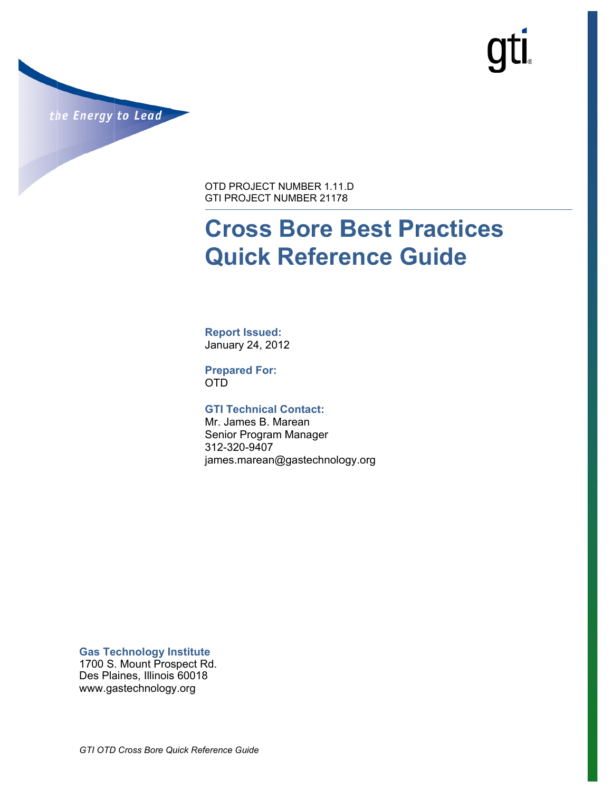OTD PROJECT NUMBER 1.11.D **GTI PROJECT NUMBER 21178** 

# **Cross Bore Best Practices Quick Reference Guide**

**Report Issued:** January 24, 2012

**Prepared For: OTD** 

**GTI Technical Contact:** Mr. James B. Marean Senior Program Manager 312-320-9407 james.marean@gastechnology.org

**Gas Technology Institute** 1700 S. Mount Prospect Rd. Des Plaines, Illinois 60018 www.gastechnology.org

the Energy to Lead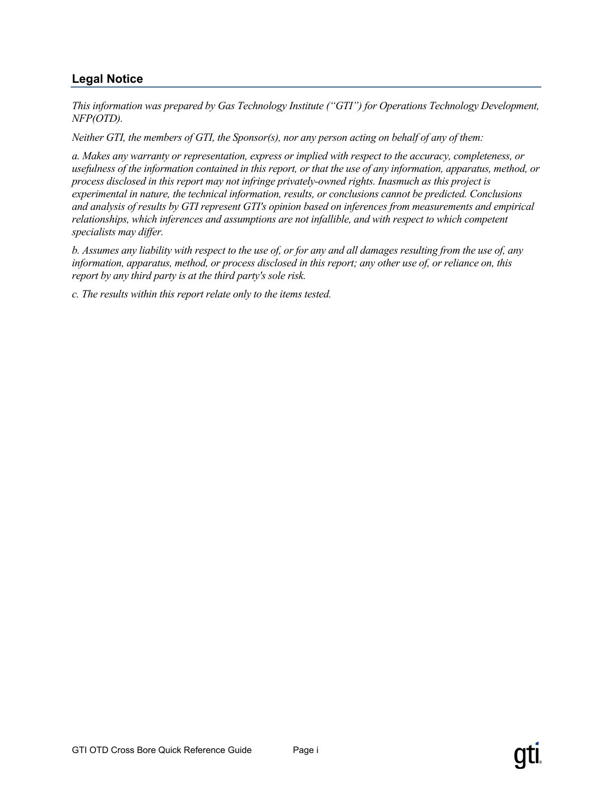# **Legal Notice**

*This information was prepared by Gas Technology Institute ("GTI") for Operations Technology Development, NFP(OTD).* 

*Neither GTI, the members of GTI, the Sponsor(s), nor any person acting on behalf of any of them:* 

*a. Makes any warranty or representation, express or implied with respect to the accuracy, completeness, or usefulness of the information contained in this report, or that the use of any information, apparatus, method, or process disclosed in this report may not infringe privately-owned rights. Inasmuch as this project is experimental in nature, the technical information, results, or conclusions cannot be predicted. Conclusions and analysis of results by GTI represent GTI's opinion based on inferences from measurements and empirical relationships, which inferences and assumptions are not infallible, and with respect to which competent specialists may differ.* 

*b. Assumes any liability with respect to the use of, or for any and all damages resulting from the use of, any information, apparatus, method, or process disclosed in this report; any other use of, or reliance on, this report by any third party is at the third party's sole risk.* 

*c. The results within this report relate only to the items tested.* 

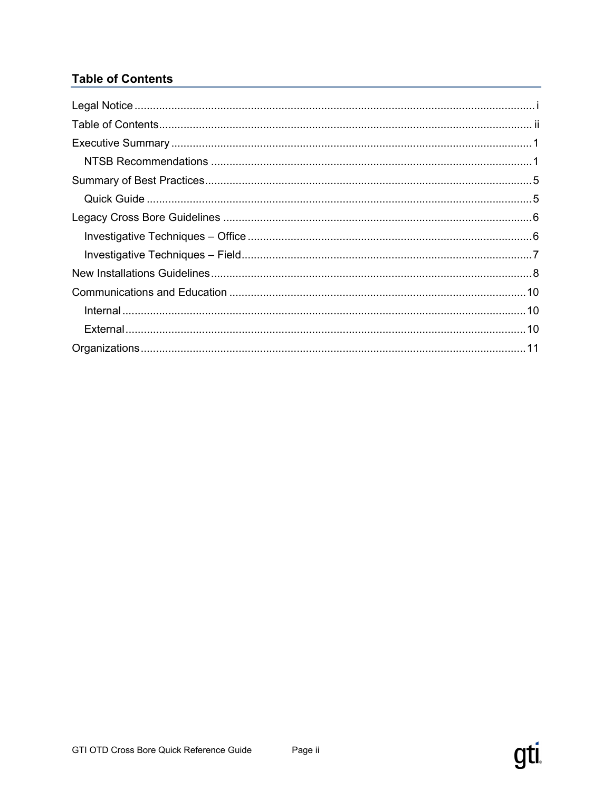# **Table of Contents**

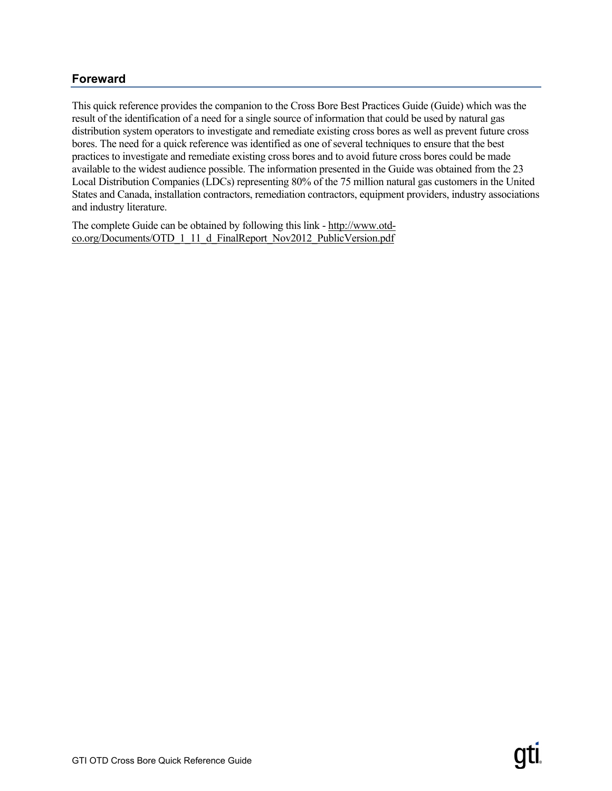## **Foreward**

This quick reference provides the companion to the Cross Bore Best Practices Guide (Guide) which was the result of the identification of a need for a single source of information that could be used by natural gas distribution system operators to investigate and remediate existing cross bores as well as prevent future cross bores. The need for a quick reference was identified as one of several techniques to ensure that the best practices to investigate and remediate existing cross bores and to avoid future cross bores could be made available to the widest audience possible. The information presented in the Guide was obtained from the 23 Local Distribution Companies (LDCs) representing 80% of the 75 million natural gas customers in the United States and Canada, installation contractors, remediation contractors, equipment providers, industry associations and industry literature.

The complete Guide can be obtained by following this link - http://www.otdco.org/Documents/OTD\_1\_11\_d\_FinalReport\_Nov2012\_PublicVersion.pdf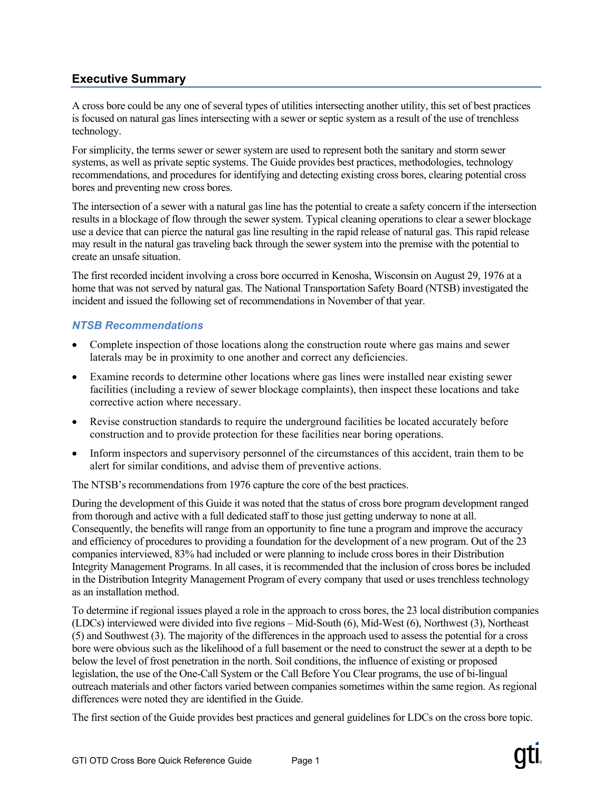# **Executive Summary**

A cross bore could be any one of several types of utilities intersecting another utility, this set of best practices is focused on natural gas lines intersecting with a sewer or septic system as a result of the use of trenchless technology.

For simplicity, the terms sewer or sewer system are used to represent both the sanitary and storm sewer systems, as well as private septic systems. The Guide provides best practices, methodologies, technology recommendations, and procedures for identifying and detecting existing cross bores, clearing potential cross bores and preventing new cross bores.

The intersection of a sewer with a natural gas line has the potential to create a safety concern if the intersection results in a blockage of flow through the sewer system. Typical cleaning operations to clear a sewer blockage use a device that can pierce the natural gas line resulting in the rapid release of natural gas. This rapid release may result in the natural gas traveling back through the sewer system into the premise with the potential to create an unsafe situation.

The first recorded incident involving a cross bore occurred in Kenosha, Wisconsin on August 29, 1976 at a home that was not served by natural gas. The National Transportation Safety Board (NTSB) investigated the incident and issued the following set of recommendations in November of that year.

## *NTSB Recommendations*

- Complete inspection of those locations along the construction route where gas mains and sewer laterals may be in proximity to one another and correct any deficiencies.
- Examine records to determine other locations where gas lines were installed near existing sewer facilities (including a review of sewer blockage complaints), then inspect these locations and take corrective action where necessary.
- Revise construction standards to require the underground facilities be located accurately before construction and to provide protection for these facilities near boring operations.
- Inform inspectors and supervisory personnel of the circumstances of this accident, train them to be alert for similar conditions, and advise them of preventive actions.

The NTSB's recommendations from 1976 capture the core of the best practices.

During the development of this Guide it was noted that the status of cross bore program development ranged from thorough and active with a full dedicated staff to those just getting underway to none at all. Consequently, the benefits will range from an opportunity to fine tune a program and improve the accuracy and efficiency of procedures to providing a foundation for the development of a new program. Out of the 23 companies interviewed, 83% had included or were planning to include cross bores in their Distribution Integrity Management Programs. In all cases, it is recommended that the inclusion of cross bores be included in the Distribution Integrity Management Program of every company that used or uses trenchless technology as an installation method.

To determine if regional issues played a role in the approach to cross bores, the 23 local distribution companies (LDCs) interviewed were divided into five regions – Mid-South (6), Mid-West (6), Northwest (3), Northeast (5) and Southwest (3). The majority of the differences in the approach used to assess the potential for a cross bore were obvious such as the likelihood of a full basement or the need to construct the sewer at a depth to be below the level of frost penetration in the north. Soil conditions, the influence of existing or proposed legislation, the use of the One-Call System or the Call Before You Clear programs, the use of bi-lingual outreach materials and other factors varied between companies sometimes within the same region. As regional differences were noted they are identified in the Guide.

The first section of the Guide provides best practices and general guidelines for LDCs on the cross bore topic.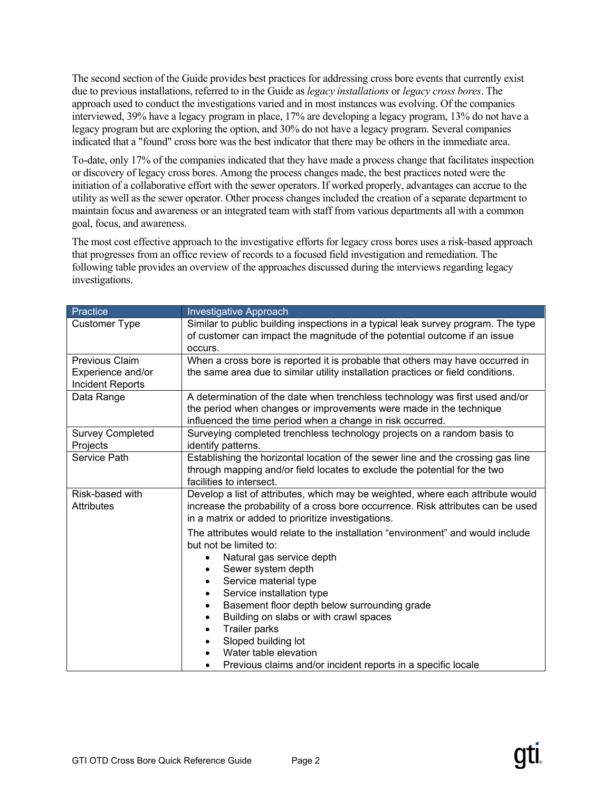The second section of the Guide provides best practices for addressing cross bore events that currently exist due to previous installations, referred to in the Guide as *legacy installations* or *legacy cross bores*. The approach used to conduct the investigations varied and in most instances was evolving. Of the companies interviewed, 39% have a legacy program in place, 17% are developing a legacy program, 13% do not have a legacy program but are exploring the option, and 30% do not have a legacy program. Several companies indicated that a "found" cross bore was the best indicator that there may be others in the immediate area.

To-date, only 17% of the companies indicated that they have made a process change that facilitates inspection or discovery of legacy cross bores. Among the process changes made, the best practices noted were the initiation of a collaborative effort with the sewer operators. If worked properly, advantages can accrue to the utility as well as the sewer operator. Other process changes included the creation of a separate department to maintain focus and awareness or an integrated team with staff from various departments all with a common goal, focus, and awareness.

The most cost effective approach to the investigative efforts for legacy cross bores uses a risk-based approach that progresses from an office review of records to a focused field investigation and remediation. The following table provides an overview of the approaches discussed during the interviews regarding legacy investigations.

| <b>Practice</b>                                                | <b>Investigative Approach</b>                                                                                                                                                                                                                                                                                                                                                                                                                                                                                                                        |  |
|----------------------------------------------------------------|------------------------------------------------------------------------------------------------------------------------------------------------------------------------------------------------------------------------------------------------------------------------------------------------------------------------------------------------------------------------------------------------------------------------------------------------------------------------------------------------------------------------------------------------------|--|
| <b>Customer Type</b>                                           | Similar to public building inspections in a typical leak survey program. The type<br>of customer can impact the magnitude of the potential outcome if an issue<br>occurs.                                                                                                                                                                                                                                                                                                                                                                            |  |
| Previous Claim<br>Experience and/or<br><b>Incident Reports</b> | When a cross bore is reported it is probable that others may have occurred in<br>the same area due to similar utility installation practices or field conditions.                                                                                                                                                                                                                                                                                                                                                                                    |  |
| Data Range                                                     | A determination of the date when trenchless technology was first used and/or<br>the period when changes or improvements were made in the technique<br>influenced the time period when a change in risk occurred.                                                                                                                                                                                                                                                                                                                                     |  |
| <b>Survey Completed</b><br>Projects                            | Surveying completed trenchless technology projects on a random basis to<br>identify patterns.                                                                                                                                                                                                                                                                                                                                                                                                                                                        |  |
| Service Path                                                   | Establishing the horizontal location of the sewer line and the crossing gas line<br>through mapping and/or field locates to exclude the potential for the two<br>facilities to intersect.                                                                                                                                                                                                                                                                                                                                                            |  |
| Risk-based with<br><b>Attributes</b>                           | Develop a list of attributes, which may be weighted, where each attribute would<br>increase the probability of a cross bore occurrence. Risk attributes can be used<br>in a matrix or added to prioritize investigations.                                                                                                                                                                                                                                                                                                                            |  |
|                                                                | The attributes would relate to the installation "environment" and would include<br>but not be limited to:<br>Natural gas service depth<br>$\bullet$<br>Sewer system depth<br>$\bullet$<br>Service material type<br>$\bullet$<br>Service installation type<br>$\bullet$<br>Basement floor depth below surrounding grade<br>Building on slabs or with crawl spaces<br>$\bullet$<br><b>Trailer parks</b><br>$\bullet$<br>Sloped building lot<br>$\bullet$<br>Water table elevation<br>Previous claims and/or incident reports in a specific locale<br>٠ |  |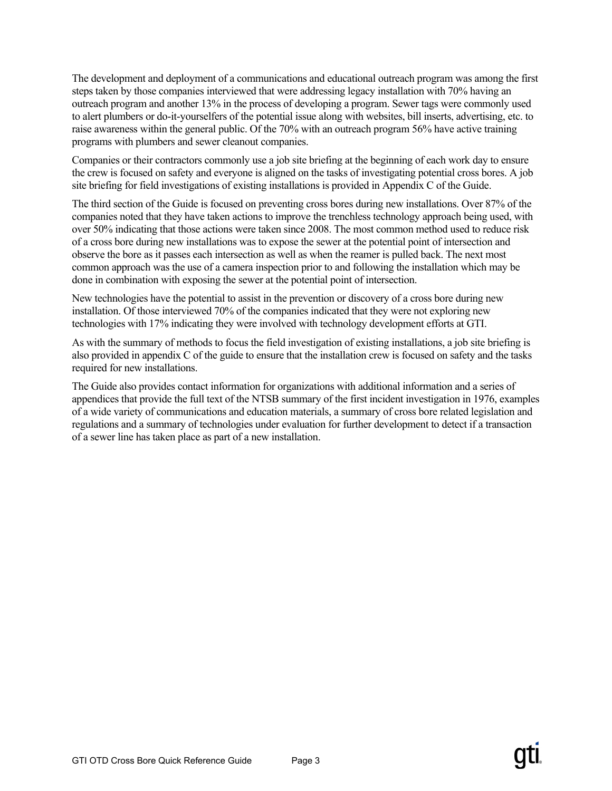The development and deployment of a communications and educational outreach program was among the first steps taken by those companies interviewed that were addressing legacy installation with 70% having an outreach program and another 13% in the process of developing a program. Sewer tags were commonly used to alert plumbers or do-it-yourselfers of the potential issue along with websites, bill inserts, advertising, etc. to raise awareness within the general public. Of the 70% with an outreach program 56% have active training programs with plumbers and sewer cleanout companies.

Companies or their contractors commonly use a job site briefing at the beginning of each work day to ensure the crew is focused on safety and everyone is aligned on the tasks of investigating potential cross bores. A job site briefing for field investigations of existing installations is provided in Appendix C of the Guide.

The third section of the Guide is focused on preventing cross bores during new installations. Over 87% of the companies noted that they have taken actions to improve the trenchless technology approach being used, with over 50% indicating that those actions were taken since 2008. The most common method used to reduce risk of a cross bore during new installations was to expose the sewer at the potential point of intersection and observe the bore as it passes each intersection as well as when the reamer is pulled back. The next most common approach was the use of a camera inspection prior to and following the installation which may be done in combination with exposing the sewer at the potential point of intersection.

New technologies have the potential to assist in the prevention or discovery of a cross bore during new installation. Of those interviewed 70% of the companies indicated that they were not exploring new technologies with 17% indicating they were involved with technology development efforts at GTI.

As with the summary of methods to focus the field investigation of existing installations, a job site briefing is also provided in appendix C of the guide to ensure that the installation crew is focused on safety and the tasks required for new installations.

The Guide also provides contact information for organizations with additional information and a series of appendices that provide the full text of the NTSB summary of the first incident investigation in 1976, examples of a wide variety of communications and education materials, a summary of cross bore related legislation and regulations and a summary of technologies under evaluation for further development to detect if a transaction of a sewer line has taken place as part of a new installation.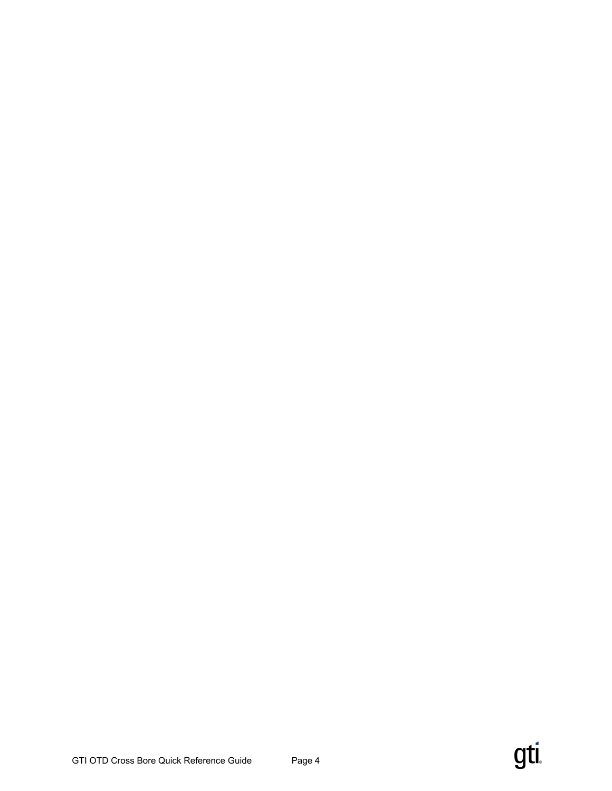gti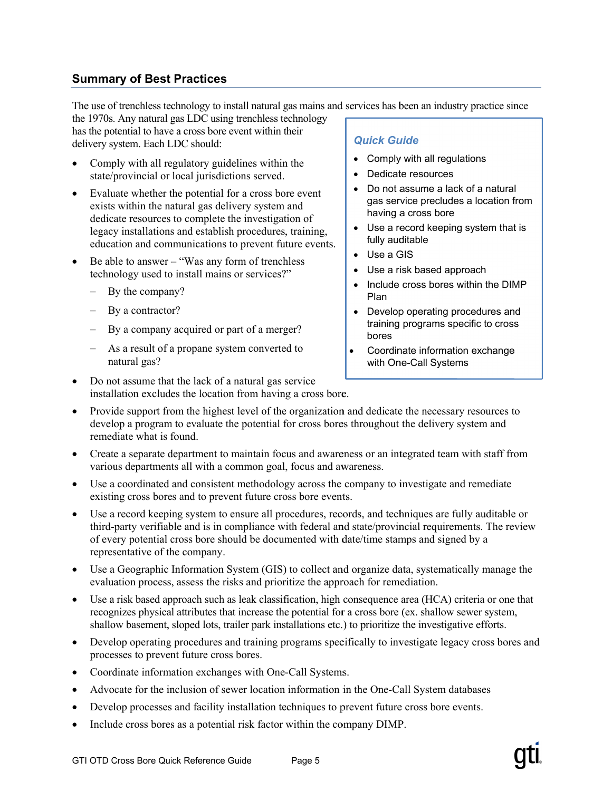# **Summary of Best Practices**

The use of trenchless technology to install natural gas mains and services has been an industry practice since

the 1970s. Any natural gas LDC using trenchless technology has the potential to have a cross bore event within their delivery system. Each LDC should:

- Comply with all regulatory guidelines within the state/provincial or local jurisdictions served.
- Evaluate whether the potential for a cross bore event exists within the natural gas delivery system and dedicate resources to complete the investigation of legacy installations and establish procedures, training, education and communications to prevent future events.
- Be able to answer  $-$  "Was any form of trenchless" technology used to install mains or services?"
	- $-$  By the company?
	- $-$  By a contractor?
	- By a company acquired or part of a merger?
	- As a result of a propane system converted to natural gas?

## **Quick Guide**

- Comply with all regulations
- Dedicate resources
- Do not assume a lack of a natural gas service precludes a location from having a cross bore
- Use a record keeping system that is fully auditable
- $\bullet$  Use a GIS
- Use a risk based approach
- Include cross bores within the DIMP Plan
- Develop operating procedures and training programs specific to cross bores
- Coordinate information exchange with One-Call Systems
- Do not assume that the lack of a natural gas service  $\bullet$ installation excludes the location from having a cross bore.
- Provide support from the highest level of the organization and dedicate the necessary resources to develop a program to evaluate the potential for cross bores throughout the delivery system and remediate what is found.
- Create a separate department to maintain focus and awareness or an integrated team with staff from various departments all with a common goal, focus and awareness.
- Use a coordinated and consistent methodology across the company to investigate and remediate existing cross bores and to prevent future cross bore events.
- Use a record keeping system to ensure all procedures, records, and techniques are fully auditable or third-party verifiable and is in compliance with federal and state/provincial requirements. The review of every potential cross bore should be documented with date/time stamps and signed by a representative of the company.
- Use a Geographic Information System (GIS) to collect and organize data, systematically manage the evaluation process, assess the risks and prioritize the approach for remediation.
- Use a risk based approach such as leak classification, high consequence area (HCA) criteria or one that recognizes physical attributes that increase the potential for a cross bore (ex. shallow sewer system, shallow basement, sloped lots, trailer park installations etc.) to prioritize the investigative efforts.
- Develop operating procedures and training programs specifically to investigate legacy cross bores and  $\bullet$ processes to prevent future cross bores.
- Coordinate information exchanges with One-Call Systems.
- Advocate for the inclusion of sewer location information in the One-Call System databases
- Develop processes and facility installation techniques to prevent future cross bore events.
- Include cross bores as a potential risk factor within the company DIMP.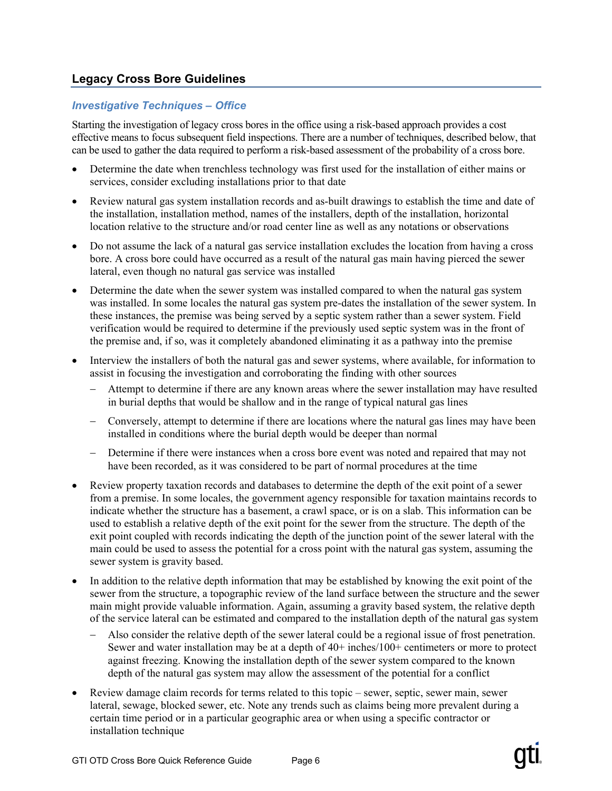# **Legacy Cross Bore Guidelines**

## *Investigative Techniques – Office*

Starting the investigation of legacy cross bores in the office using a risk-based approach provides a cost effective means to focus subsequent field inspections. There are a number of techniques, described below, that can be used to gather the data required to perform a risk-based assessment of the probability of a cross bore.

- Determine the date when trenchless technology was first used for the installation of either mains or services, consider excluding installations prior to that date
- Review natural gas system installation records and as-built drawings to establish the time and date of the installation, installation method, names of the installers, depth of the installation, horizontal location relative to the structure and/or road center line as well as any notations or observations
- Do not assume the lack of a natural gas service installation excludes the location from having a cross bore. A cross bore could have occurred as a result of the natural gas main having pierced the sewer lateral, even though no natural gas service was installed
- Determine the date when the sewer system was installed compared to when the natural gas system was installed. In some locales the natural gas system pre-dates the installation of the sewer system. In these instances, the premise was being served by a septic system rather than a sewer system. Field verification would be required to determine if the previously used septic system was in the front of the premise and, if so, was it completely abandoned eliminating it as a pathway into the premise
- Interview the installers of both the natural gas and sewer systems, where available, for information to assist in focusing the investigation and corroborating the finding with other sources
	- Attempt to determine if there are any known areas where the sewer installation may have resulted in burial depths that would be shallow and in the range of typical natural gas lines
	- Conversely, attempt to determine if there are locations where the natural gas lines may have been installed in conditions where the burial depth would be deeper than normal
	- Determine if there were instances when a cross bore event was noted and repaired that may not have been recorded, as it was considered to be part of normal procedures at the time
- Review property taxation records and databases to determine the depth of the exit point of a sewer from a premise. In some locales, the government agency responsible for taxation maintains records to indicate whether the structure has a basement, a crawl space, or is on a slab. This information can be used to establish a relative depth of the exit point for the sewer from the structure. The depth of the exit point coupled with records indicating the depth of the junction point of the sewer lateral with the main could be used to assess the potential for a cross point with the natural gas system, assuming the sewer system is gravity based.
- In addition to the relative depth information that may be established by knowing the exit point of the sewer from the structure, a topographic review of the land surface between the structure and the sewer main might provide valuable information. Again, assuming a gravity based system, the relative depth of the service lateral can be estimated and compared to the installation depth of the natural gas system
	- Also consider the relative depth of the sewer lateral could be a regional issue of frost penetration. Sewer and water installation may be at a depth of 40+ inches/100+ centimeters or more to protect against freezing. Knowing the installation depth of the sewer system compared to the known depth of the natural gas system may allow the assessment of the potential for a conflict
- Review damage claim records for terms related to this topic sewer, septic, sewer main, sewer lateral, sewage, blocked sewer, etc. Note any trends such as claims being more prevalent during a certain time period or in a particular geographic area or when using a specific contractor or installation technique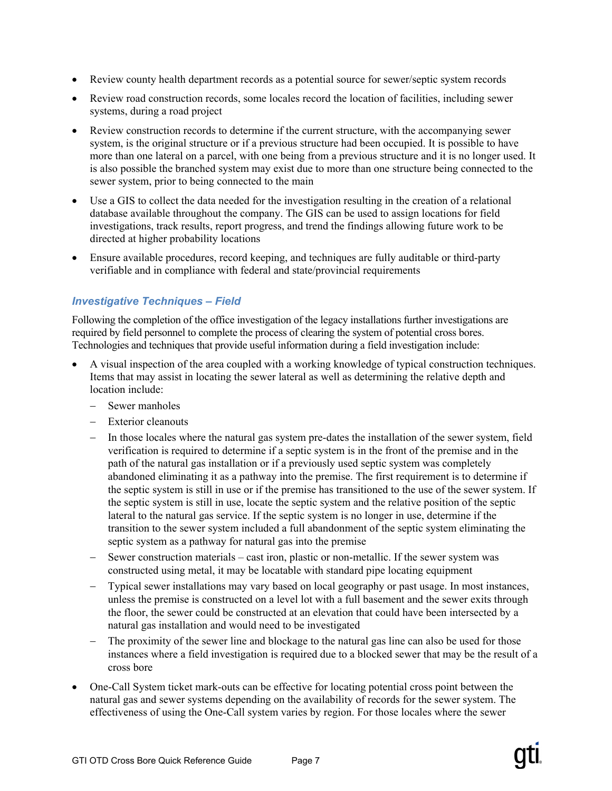- Review county health department records as a potential source for sewer/septic system records
- Review road construction records, some locales record the location of facilities, including sewer systems, during a road project
- Review construction records to determine if the current structure, with the accompanying sewer system, is the original structure or if a previous structure had been occupied. It is possible to have more than one lateral on a parcel, with one being from a previous structure and it is no longer used. It is also possible the branched system may exist due to more than one structure being connected to the sewer system, prior to being connected to the main
- Use a GIS to collect the data needed for the investigation resulting in the creation of a relational database available throughout the company. The GIS can be used to assign locations for field investigations, track results, report progress, and trend the findings allowing future work to be directed at higher probability locations
- Ensure available procedures, record keeping, and techniques are fully auditable or third-party verifiable and in compliance with federal and state/provincial requirements

## *Investigative Techniques – Field*

Following the completion of the office investigation of the legacy installations further investigations are required by field personnel to complete the process of clearing the system of potential cross bores. Technologies and techniques that provide useful information during a field investigation include:

- A visual inspection of the area coupled with a working knowledge of typical construction techniques. Items that may assist in locating the sewer lateral as well as determining the relative depth and location include:
	- Sewer manholes
	- Exterior cleanouts
	- In those locales where the natural gas system pre-dates the installation of the sewer system, field verification is required to determine if a septic system is in the front of the premise and in the path of the natural gas installation or if a previously used septic system was completely abandoned eliminating it as a pathway into the premise. The first requirement is to determine if the septic system is still in use or if the premise has transitioned to the use of the sewer system. If the septic system is still in use, locate the septic system and the relative position of the septic lateral to the natural gas service. If the septic system is no longer in use, determine if the transition to the sewer system included a full abandonment of the septic system eliminating the septic system as a pathway for natural gas into the premise
	- Sewer construction materials cast iron, plastic or non-metallic. If the sewer system was constructed using metal, it may be locatable with standard pipe locating equipment
	- Typical sewer installations may vary based on local geography or past usage. In most instances, unless the premise is constructed on a level lot with a full basement and the sewer exits through the floor, the sewer could be constructed at an elevation that could have been intersected by a natural gas installation and would need to be investigated
	- The proximity of the sewer line and blockage to the natural gas line can also be used for those instances where a field investigation is required due to a blocked sewer that may be the result of a cross bore
- One-Call System ticket mark-outs can be effective for locating potential cross point between the natural gas and sewer systems depending on the availability of records for the sewer system. The effectiveness of using the One-Call system varies by region. For those locales where the sewer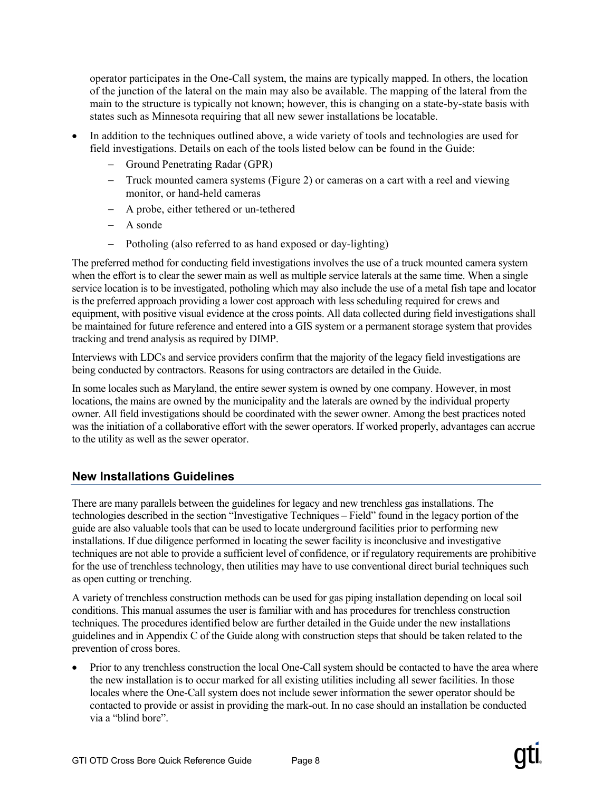operator participates in the One-Call system, the mains are typically mapped. In others, the location of the junction of the lateral on the main may also be available. The mapping of the lateral from the main to the structure is typically not known; however, this is changing on a state-by-state basis with states such as Minnesota requiring that all new sewer installations be locatable.

- In addition to the techniques outlined above, a wide variety of tools and technologies are used for field investigations. Details on each of the tools listed below can be found in the Guide:
	- Ground Penetrating Radar (GPR)
	- Truck mounted camera systems (Figure 2) or cameras on a cart with a reel and viewing monitor, or hand-held cameras
	- A probe, either tethered or un-tethered
	- A sonde
	- Potholing (also referred to as hand exposed or day-lighting)

The preferred method for conducting field investigations involves the use of a truck mounted camera system when the effort is to clear the sewer main as well as multiple service laterals at the same time. When a single service location is to be investigated, potholing which may also include the use of a metal fish tape and locator is the preferred approach providing a lower cost approach with less scheduling required for crews and equipment, with positive visual evidence at the cross points. All data collected during field investigations shall be maintained for future reference and entered into a GIS system or a permanent storage system that provides tracking and trend analysis as required by DIMP.

Interviews with LDCs and service providers confirm that the majority of the legacy field investigations are being conducted by contractors. Reasons for using contractors are detailed in the Guide.

In some locales such as Maryland, the entire sewer system is owned by one company. However, in most locations, the mains are owned by the municipality and the laterals are owned by the individual property owner. All field investigations should be coordinated with the sewer owner. Among the best practices noted was the initiation of a collaborative effort with the sewer operators. If worked properly, advantages can accrue to the utility as well as the sewer operator.

## **New Installations Guidelines**

There are many parallels between the guidelines for legacy and new trenchless gas installations. The technologies described in the section "Investigative Techniques – Field" found in the legacy portion of the guide are also valuable tools that can be used to locate underground facilities prior to performing new installations. If due diligence performed in locating the sewer facility is inconclusive and investigative techniques are not able to provide a sufficient level of confidence, or if regulatory requirements are prohibitive for the use of trenchless technology, then utilities may have to use conventional direct burial techniques such as open cutting or trenching.

A variety of trenchless construction methods can be used for gas piping installation depending on local soil conditions. This manual assumes the user is familiar with and has procedures for trenchless construction techniques. The procedures identified below are further detailed in the Guide under the new installations guidelines and in Appendix C of the Guide along with construction steps that should be taken related to the prevention of cross bores.

 Prior to any trenchless construction the local One-Call system should be contacted to have the area where the new installation is to occur marked for all existing utilities including all sewer facilities. In those locales where the One-Call system does not include sewer information the sewer operator should be contacted to provide or assist in providing the mark-out. In no case should an installation be conducted via a "blind bore".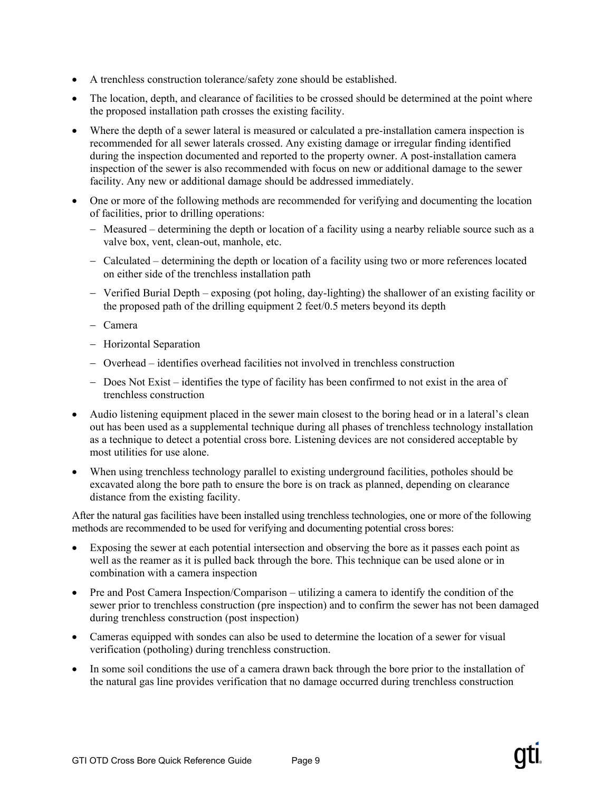- A trenchless construction tolerance/safety zone should be established.
- The location, depth, and clearance of facilities to be crossed should be determined at the point where the proposed installation path crosses the existing facility.
- Where the depth of a sewer lateral is measured or calculated a pre-installation camera inspection is recommended for all sewer laterals crossed. Any existing damage or irregular finding identified during the inspection documented and reported to the property owner. A post-installation camera inspection of the sewer is also recommended with focus on new or additional damage to the sewer facility. Any new or additional damage should be addressed immediately.
- One or more of the following methods are recommended for verifying and documenting the location of facilities, prior to drilling operations:
	- Measured determining the depth or location of a facility using a nearby reliable source such as a valve box, vent, clean-out, manhole, etc.
	- Calculated determining the depth or location of a facility using two or more references located on either side of the trenchless installation path
	- $-$  Verified Burial Depth exposing (pot holing, day-lighting) the shallower of an existing facility or the proposed path of the drilling equipment 2 feet/0.5 meters beyond its depth
	- Camera
	- Horizontal Separation
	- Overhead identifies overhead facilities not involved in trenchless construction
	- Does Not Exist identifies the type of facility has been confirmed to not exist in the area of trenchless construction
- Audio listening equipment placed in the sewer main closest to the boring head or in a lateral's clean out has been used as a supplemental technique during all phases of trenchless technology installation as a technique to detect a potential cross bore. Listening devices are not considered acceptable by most utilities for use alone.
- When using trenchless technology parallel to existing underground facilities, potholes should be excavated along the bore path to ensure the bore is on track as planned, depending on clearance distance from the existing facility.

After the natural gas facilities have been installed using trenchless technologies, one or more of the following methods are recommended to be used for verifying and documenting potential cross bores:

- Exposing the sewer at each potential intersection and observing the bore as it passes each point as well as the reamer as it is pulled back through the bore. This technique can be used alone or in combination with a camera inspection
- Pre and Post Camera Inspection/Comparison utilizing a camera to identify the condition of the sewer prior to trenchless construction (pre inspection) and to confirm the sewer has not been damaged during trenchless construction (post inspection)
- Cameras equipped with sondes can also be used to determine the location of a sewer for visual verification (potholing) during trenchless construction.
- In some soil conditions the use of a camera drawn back through the bore prior to the installation of the natural gas line provides verification that no damage occurred during trenchless construction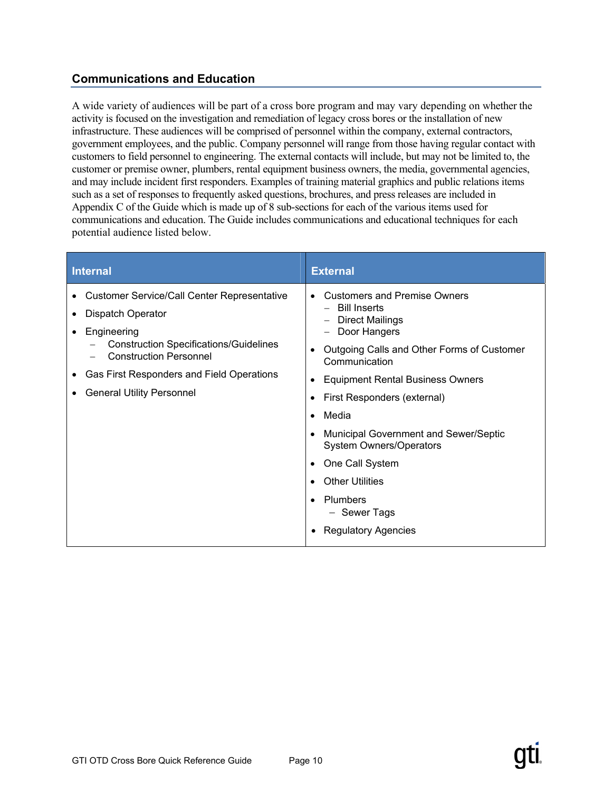# **Communications and Education**

A wide variety of audiences will be part of a cross bore program and may vary depending on whether the activity is focused on the investigation and remediation of legacy cross bores or the installation of new infrastructure. These audiences will be comprised of personnel within the company, external contractors, government employees, and the public. Company personnel will range from those having regular contact with customers to field personnel to engineering. The external contacts will include, but may not be limited to, the customer or premise owner, plumbers, rental equipment business owners, the media, governmental agencies, and may include incident first responders. Examples of training material graphics and public relations items such as a set of responses to frequently asked questions, brochures, and press releases are included in Appendix C of the Guide which is made up of 8 sub-sections for each of the various items used for communications and education. The Guide includes communications and educational techniques for each potential audience listed below.

| <b>Internal</b>                                                                                                                                                                                                                                                                     | <b>External</b>                                                                                                                                                                                                                                                                                                                                                                                                                            |
|-------------------------------------------------------------------------------------------------------------------------------------------------------------------------------------------------------------------------------------------------------------------------------------|--------------------------------------------------------------------------------------------------------------------------------------------------------------------------------------------------------------------------------------------------------------------------------------------------------------------------------------------------------------------------------------------------------------------------------------------|
| <b>Customer Service/Call Center Representative</b><br>$\bullet$<br>Dispatch Operator<br>Engineering<br>$\bullet$<br><b>Construction Specifications/Guidelines</b><br><b>Construction Personnel</b><br>Gas First Responders and Field Operations<br><b>General Utility Personnel</b> | <b>Customers and Premise Owners</b><br><b>Bill Inserts</b><br><b>Direct Mailings</b><br>Door Hangers<br>Outgoing Calls and Other Forms of Customer<br>Communication<br><b>Equipment Rental Business Owners</b><br>First Responders (external)<br>Media<br>Municipal Government and Sewer/Septic<br><b>System Owners/Operators</b><br>One Call System<br><b>Other Utilities</b><br>Plumbers<br>$-$ Sewer Tags<br><b>Regulatory Agencies</b> |